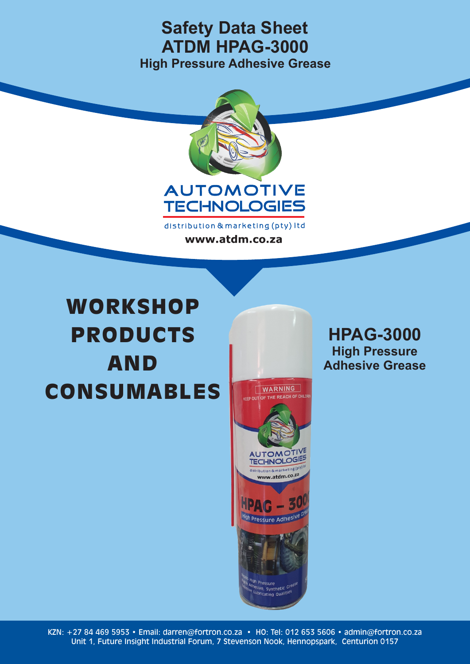

distribution & marketing (pty) Itd www.atdm.co.za

# Cleans, lubricates and protects injectors. AND Minimises exhaust smoke. **et o in issued finite fuel c CONSUMABLES WORKSHOP** PRODUCTS

WARNING **CEEP OUT OF THE REACH OF CHILD AUTOMOT!** TECHNOLOGIES distribution & marketing (pty) www.atdm.co.za  $PA(G - 5$ High Pressure Adhesive Pressure Pressure<br><sup>Sive</sup>, Synthetic <sup>Great</sup><br>Ibriast: augliti<sup>es</sup>

**HPAG-3000 High Pressure Adhesive Grease**

KZN: +27 84 469 5953 • Email: darren@fortron.co.za • HO: Tel: 012 653 5606 • admin@fortron.co.za Unit 1, Future Insight Industrial Forum, 7 Stevenson Nook, Hennopspark, Centurion 0157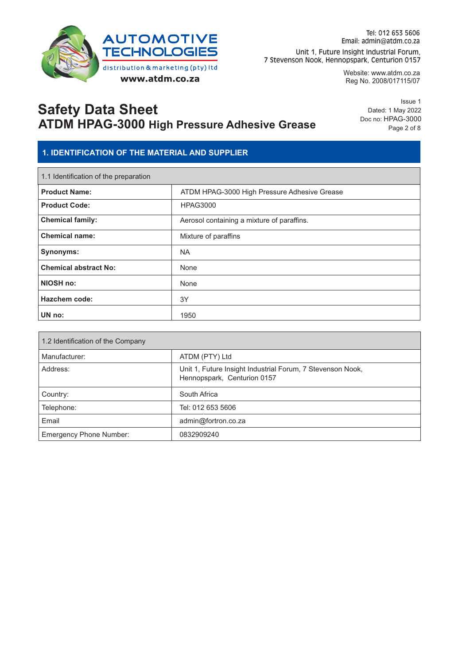

Website: www.atdm.co.za Reg No. 2008/017115/07

# **Safety Data Sheet ATDM HPAG-3000 High Pressure Adhesive Grease**

Issue 1 Dated: 1 May 2022 Doc no: HPAG-3000 Page 2 of 8

### **1. IDENTIFICATION OF THE MATERIAL AND SUPPLIER**

| 1.1 Identification of the preparation |                                              |  |
|---------------------------------------|----------------------------------------------|--|
| <b>Product Name:</b>                  | ATDM HPAG-3000 High Pressure Adhesive Grease |  |
| <b>Product Code:</b>                  | <b>HPAG3000</b>                              |  |
| <b>Chemical family:</b>               | Aerosol containing a mixture of paraffins.   |  |
| <b>Chemical name:</b>                 | Mixture of paraffins                         |  |
| Synonyms:                             | <b>NA</b>                                    |  |
| <b>Chemical abstract No:</b>          | None                                         |  |
| NIOSH no:                             | None                                         |  |
| <b>Hazchem code:</b>                  | 3Y                                           |  |
| UN no:                                | 1950                                         |  |

| 1.2 Identification of the Company |                                                                                           |  |
|-----------------------------------|-------------------------------------------------------------------------------------------|--|
| Manufacturer:                     | ATDM (PTY) Ltd                                                                            |  |
| Address:                          | Unit 1, Future Insight Industrial Forum, 7 Stevenson Nook,<br>Hennopspark, Centurion 0157 |  |
| Country:                          | South Africa                                                                              |  |
| Telephone:                        | Tel: 012 653 5606                                                                         |  |
| Email                             | admin@fortron.co.za                                                                       |  |
| <b>Emergency Phone Number:</b>    | 0832909240                                                                                |  |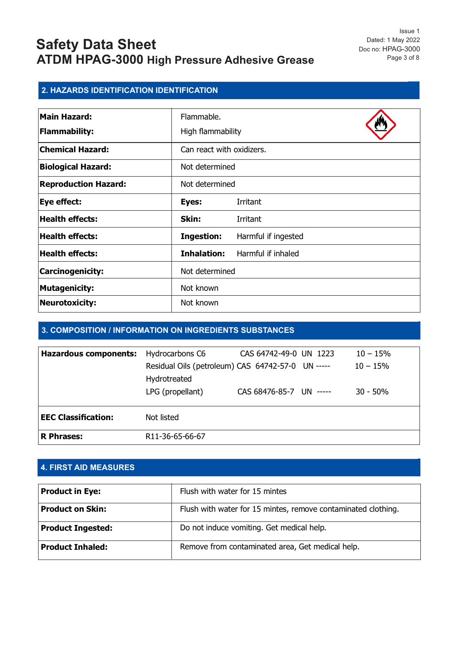Issue 1 Dated: 1 May 2022 Doc no: HPAG-3000 Page 3 of 8

### **2. HAZARDS IDENTIFICATION IDENTIFICATION**

| <b>Main Hazard:</b>         | Flammable.                |                     |
|-----------------------------|---------------------------|---------------------|
| <b>Flammability:</b>        | High flammability         |                     |
| <b>Chemical Hazard:</b>     | Can react with oxidizers. |                     |
| <b>Biological Hazard:</b>   | Not determined            |                     |
| <b>Reproduction Hazard:</b> | Not determined            |                     |
| Eye effect:                 | Eyes:                     | Irritant            |
| <b>Health effects:</b>      | Skin:                     | <b>Irritant</b>     |
| <b>Health effects:</b>      | <b>Ingestion:</b>         | Harmful if ingested |
| <b>Health effects:</b>      | Inhalation:               | Harmful if inhaled  |
| Carcinogenicity:            | Not determined            |                     |
| <b>Mutagenicity:</b>        | Not known                 |                     |
| <b>Neurotoxicity:</b>       | Not known                 |                     |

#### **3. COMPOSITION / INFORMATION ON INGREDIENTS SUBSTANCES**

| <b>Hazardous components:</b> | Hydrocarbons C6                                   | CAS 64742-49-0 UN 1223  | $10 - 15%$ |
|------------------------------|---------------------------------------------------|-------------------------|------------|
|                              | Residual Oils (petroleum) CAS 64742-57-0 UN ----- |                         | $10 - 15%$ |
|                              | Hydrotreated                                      |                         |            |
|                              | LPG (propellant)                                  | CAS 68476-85-7 UN ----- | $30 - 50%$ |
| <b>EEC Classification:</b>   | Not listed                                        |                         |            |
| <b>R</b> Phrases:            | R <sub>11</sub> -36-65-66-67                      |                         |            |

### **4. FIRST AID MEASURES**

| <b>Product in Eye:</b>   | Flush with water for 15 mintes                                |
|--------------------------|---------------------------------------------------------------|
| <b>Product on Skin:</b>  | Flush with water for 15 mintes, remove contaminated clothing. |
| <b>Product Ingested:</b> | Do not induce vomiting. Get medical help.                     |
| <b>Product Inhaled:</b>  | Remove from contaminated area, Get medical help.              |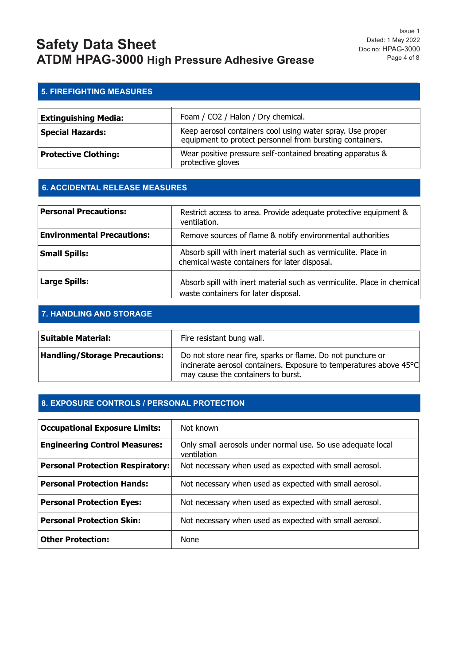### **5. FIREFIGHTING MEASURES**

| <b>Extinguishing Media:</b> | Foam / CO2 / Halon / Dry chemical.                                                                                     |
|-----------------------------|------------------------------------------------------------------------------------------------------------------------|
| <b>Special Hazards:</b>     | Keep aerosol containers cool using water spray. Use proper<br>equipment to protect personnel from bursting containers. |
| <b>Protective Clothing:</b> | Wear positive pressure self-contained breating apparatus &<br>protective gloves                                        |

#### **6. ACCIDENTAL RELEASE MEASURES**

| <b>Personal Precautions:</b>      | Restrict access to area. Provide adequate protective equipment &<br>ventilation.                                |
|-----------------------------------|-----------------------------------------------------------------------------------------------------------------|
| <b>Environmental Precautions:</b> | Remove sources of flame & notify environmental authorities                                                      |
| <b>Small Spills:</b>              | Absorb spill with inert material such as vermiculite. Place in<br>chemical waste containers for later disposal. |
| <b>Large Spills:</b>              | Absorb spill with inert material such as vermiculite. Place in chemical<br>waste containers for later disposal. |

#### **7. HANDLING AND STORAGE**

| Suitable Material:                   | Fire resistant bung wall.                                                                                                                                               |
|--------------------------------------|-------------------------------------------------------------------------------------------------------------------------------------------------------------------------|
| <b>Handling/Storage Precautions:</b> | Do not store near fire, sparks or flame. Do not puncture or<br>incinerate aerosol containers. Exposure to temperatures above 45°C<br>may cause the containers to burst. |

#### **8. EXPOSURE CONTROLS / PERSONAL PROTECTION**

| <b>Occupational Exposure Limits:</b>    | Not known                                                                  |
|-----------------------------------------|----------------------------------------------------------------------------|
| <b>Engineering Control Measures:</b>    | Only small aerosols under normal use. So use adequate local<br>ventilation |
| <b>Personal Protection Respiratory:</b> | Not necessary when used as expected with small aerosol.                    |
| <b>Personal Protection Hands:</b>       | Not necessary when used as expected with small aerosol.                    |
| <b>Personal Protection Eyes:</b>        | Not necessary when used as expected with small aerosol.                    |
| <b>Personal Protection Skin:</b>        | Not necessary when used as expected with small aerosol.                    |
| <b>Other Protection:</b>                | None                                                                       |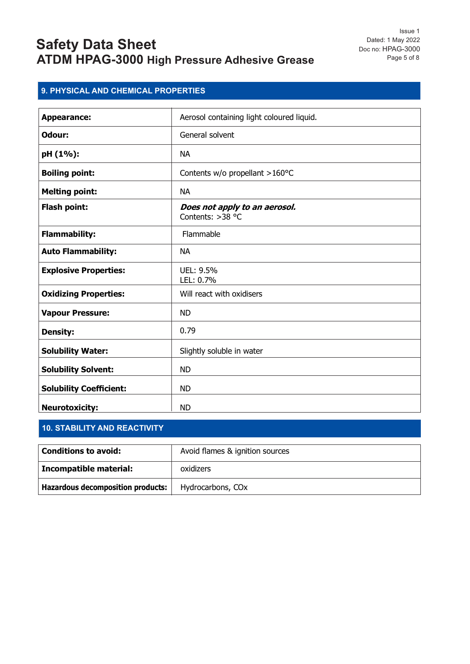Issue 1 Dated: 1 May 2022 Doc no: HPAG-3000 Page 5 of 8

### **9. PHYSICAL AND CHEMICAL PROPERTIES**

| <b>Appearance:</b>             | Aerosol containing light coloured liquid.         |
|--------------------------------|---------------------------------------------------|
| Odour:                         | General solvent                                   |
| pH (1%):                       | <b>NA</b>                                         |
| <b>Boiling point:</b>          | Contents w/o propellant >160°C                    |
| <b>Melting point:</b>          | <b>NA</b>                                         |
| Flash point:                   | Does not apply to an aerosol.<br>Contents: >38 °C |
| <b>Flammability:</b>           | Flammable                                         |
| <b>Auto Flammability:</b>      | <b>NA</b>                                         |
| <b>Explosive Properties:</b>   | UEL: 9.5%<br>LEL: 0.7%                            |
| <b>Oxidizing Properties:</b>   | Will react with oxidisers                         |
| <b>Vapour Pressure:</b>        | <b>ND</b>                                         |
| <b>Density:</b>                | 0.79                                              |
| <b>Solubility Water:</b>       | Slightly soluble in water                         |
| <b>Solubility Solvent:</b>     | <b>ND</b>                                         |
| <b>Solubility Coefficient:</b> | <b>ND</b>                                         |
| <b>Neurotoxicity:</b>          | <b>ND</b>                                         |

### **10. STABILITY AND REACTIVITY**

| Conditions to avoid:                     | Avoid flames & ignition sources |
|------------------------------------------|---------------------------------|
| Incompatible material:                   | oxidizers                       |
| <b>Hazardous decomposition products:</b> | Hydrocarbons, CO <sub>x</sub>   |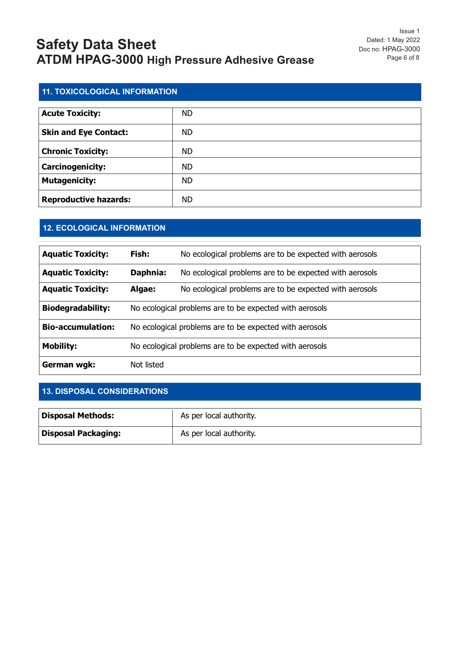| <b>11. TOXICOLOGICAL INFORMATION</b> |           |  |
|--------------------------------------|-----------|--|
|                                      |           |  |
| <b>Acute Toxicity:</b>               | <b>ND</b> |  |
| <b>Skin and Eye Contact:</b>         | <b>ND</b> |  |
| <b>Chronic Toxicity:</b>             | <b>ND</b> |  |
| Carcinogenicity:                     | <b>ND</b> |  |
| <b>Mutagenicity:</b>                 | <b>ND</b> |  |
| <b>Reproductive hazards:</b>         | <b>ND</b> |  |

### **12. ECOLOGICAL INFORMATION**

| <b>Aquatic Toxicity:</b> | Fish:                                                   | No ecological problems are to be expected with aerosols |  |
|--------------------------|---------------------------------------------------------|---------------------------------------------------------|--|
| <b>Aquatic Toxicity:</b> | Daphnia:                                                | No ecological problems are to be expected with aerosols |  |
| <b>Aquatic Toxicity:</b> | Algae:                                                  | No ecological problems are to be expected with aerosols |  |
| <b>Biodegradability:</b> | No ecological problems are to be expected with aerosols |                                                         |  |
| <b>Bio-accumulation:</b> | No ecological problems are to be expected with aerosols |                                                         |  |
| <b>Mobility:</b>         | No ecological problems are to be expected with aerosols |                                                         |  |
| German wgk:              | Not listed                                              |                                                         |  |

### **13. DISPOSAL CONSIDERATIONS**

| <b>Disposal Methods:</b>   | As per local authority. |
|----------------------------|-------------------------|
| <b>Disposal Packaging:</b> | As per local authority. |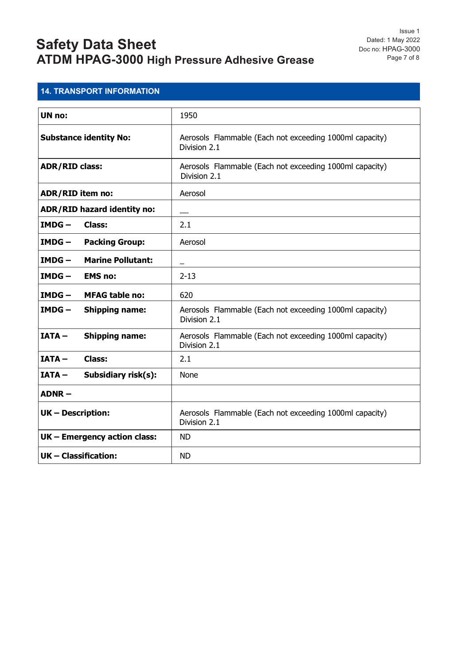### **14. TRANSPORT INFORMATION**

| UN no:                               | 1950                                                                    |
|--------------------------------------|-------------------------------------------------------------------------|
| <b>Substance identity No:</b>        | Aerosols Flammable (Each not exceeding 1000ml capacity)<br>Division 2.1 |
| <b>ADR/RID class:</b>                | Aerosols Flammable (Each not exceeding 1000ml capacity)<br>Division 2.1 |
| <b>ADR/RID item no:</b>              | Aerosol                                                                 |
| ADR/RID hazard identity no:          |                                                                         |
| $IMDG -$<br><b>Class:</b>            | 2.1                                                                     |
| $IMDG -$<br><b>Packing Group:</b>    | Aerosol                                                                 |
| <b>Marine Pollutant:</b><br>$IMDG -$ |                                                                         |
| $IMDG -$<br><b>EMS no:</b>           | $2 - 13$                                                                |
| $IMDG -$<br><b>MFAG table no:</b>    | 620                                                                     |
| <b>Shipping name:</b><br>$IMDG -$    | Aerosols Flammable (Each not exceeding 1000ml capacity)<br>Division 2.1 |
| <b>Shipping name:</b><br>$IATA -$    | Aerosols Flammable (Each not exceeding 1000ml capacity)<br>Division 2.1 |
| $IATA -$<br><b>Class:</b>            | 2.1                                                                     |
| $IATA -$<br>Subsidiary risk(s):      | None                                                                    |
| $ADNR -$                             |                                                                         |
| <b>UK-Description:</b>               | Aerosols Flammable (Each not exceeding 1000ml capacity)<br>Division 2.1 |
| UK - Emergency action class:         | <b>ND</b>                                                               |
| UK - Classification:                 | <b>ND</b>                                                               |